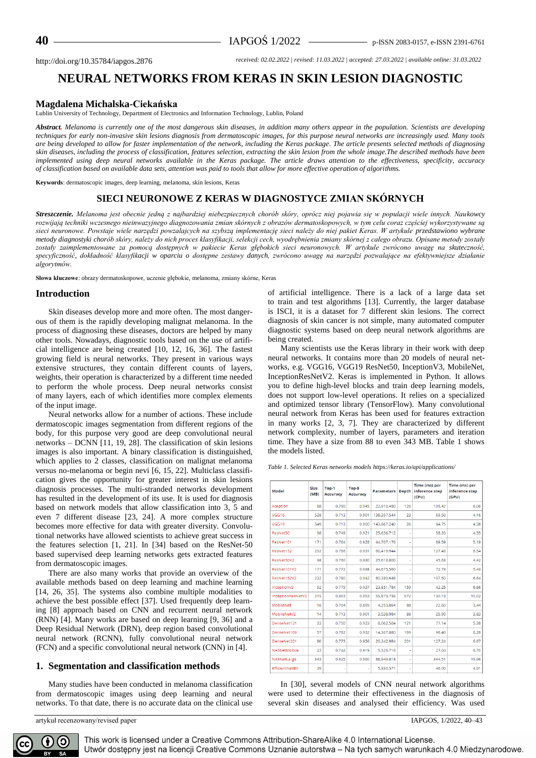http://doi.org/10.35784/iapgos.2876 *received: 02.02.2022 | revised: 11.03.2022 | accepted: 27.03.2022 | available online: 31.03.2022*

# **NEURAL NETWORKS FROM KERAS IN SKIN LESION DIAGNOSTIC**

## **Magdalena Michalska-Ciekańska**

Lublin University of Technology, Department of Electronics and Information Technology, Lublin, Poland

*Abstract. Melanoma is currently one of the most dangerous skin diseases, in addition many others appear in the population. Scientists are developing techniques for early non-invasive skin lesions diagnosis from dermatoscopic images, for this purpose neural networks are increasingly used. Many tools are being developed to allow for faster implementation of the network, including the Keras package. The article presents selected methods of diagnosing skin diseases, including the process of classification, features selection, extracting the skin lesion from the whole image.The described methods have been implemented using deep neural networks available in the Keras package. The article draws attention to the effectiveness, specificity, accuracy of classification based on available data sets, attention was paid to tools that allow for more effective operation of algorithms.*

**Keywords**: dermatoscopic images, deep learning, melanoma, skin lesions, Keras

# **SIECI NEURONOWE Z KERAS W DIAGNOSTYCE ZMIAN SKÓRNYCH**

*Streszczenie. Melanoma jest obecnie jedną z najbardziej niebezpiecznych chorób skóry, oprócz niej pojawia się w populacji wiele innych. Naukowcy rozwijają techniki wczesnego nieinwazyjnego diagnozowania zmian skórnych z obrazów dermatoskopowych, w tym celu coraz częściej wykorzystywane są sieci neuronowe. Powstaje wiele narzędzi powzalajcych na szybszą implementację sieci należy do niej pakiet Keras. W artykule przedstawiono wybrane metody diagnostyki chorób skóry, należy do nich proces klasyfikacji, selekcji cech, wyodrębnienia zmiany skórnej z całego obrazu. Opisane metody zostały zostały zaimplementowane za pomocą dostępnych w pakiecie Keras głębokich sieci neuronowych. W artykule zwrócono uwagę na skuteczność, specyficzność, dokładność klasyfikacji w oparciu o dostępne zestawy danych, zwrócono uwagę na narzędzi pozwalające na efektywniejsze działanie algorytmów.*

**Słowa kluczowe**: obrazy dermatoskopowe, uczenie głębokie, melanoma, zmiany skórne, Keras

## **Introduction**

Skin diseases develop more and more often. The most dangerous of them is the rapidly developing malignat melanoma. In the process of diagnosing these diseases, doctors are helped by many other tools. Nowadays, diagnostic tools based on the use of artificial intelligence are being created [10, 12, 16, 36]. The fastest growing field is neural networks. They present in various ways extensive structures, they contain different counts of layers, weights, their operation is characterized by a different time needed to perform the whole process. Deep neural networks consist of many layers, each of which identifies more complex elements of the input image.

Neural networks allow for a number of actions. These include dermatoscopic images segmentation from different regions of the body, for this purpose very good are deep convolutional neural networks – DCNN [11, 19, 28]. The classification of skin lesions images is also important. A binary classification is distinguished, which applies to 2 classes, classification on malignat melanoma versus no-melanoma or begin nevi [6, 15, 22]. Multiclass classification gives the opportunity for greater interest in skin lesions diagnosis processes. The multi-stranded networks development has resulted in the development of its use. It is used for diagnosis based on network models that allow classification into 3, 5 and even 7 different disease [23, 24]. A more complex structure becomes more effective for data with greater diversity. Convolutional networks have allowed scientists to achieve great success in the features selection [1, 21]. In [34] based on the ResNet-50 based supervised deep learning networks gets extracted features from dermatoscopic images.

There are also many works that provide an overview of the available methods based on deep learning and machine learning [14, 26, 35]. The systems also combine multiple modalities to achieve the best possible effect [37]. Used frequently deep learning [8] approach based on CNN and recurrent neural network (RNN) [4]. Many works are based on deep learning [9, 36] and a Deep Residual Network (DRN), deep region based convolutional neural network (RCNN), fully convolutional neural network (FCN) and a specific convolutional neural network (CNN) in [4].

#### **1. Segmentation and classification methods**

Many studies have been conducted in melanoma classification from dermatoscopic images using deep learning and neural networks. To that date, there is no accurate data on the clinical use

artykuł recenzowany/revised paper IAPGOS, 1/2022, 40–43

of artificial intelligence. There is a lack of a large data set to train and test algorithms [13]. Currently, the larger database is ISCI, it is a dataset for 7 different skin lesions. The correct diagnosis of skin cancer is not simple, many automated computer diagnostic systems based on deep neural network algorithms are being created.

Many scientists use the Keras library in their work with deep neural networks. It contains more than 20 models of neural networks, e.g. VGG16, VGG19 ResNet50, InceptionV3, MobileNet, InceptionResNetV2. Keras is implemented in Python. It allows you to define high-level blocks and train deep learning models, does not support low-level operations. It relies on a specialized and optimized tensor library (TensorFlow). Many convolutional neural network from Keras has been used for features extraction in many works [2, 3, 7]. They are characterized by different network complexity, number of layers, parameters and iteration time. They have a size from 88 to even 343 MB. Table 1 shows the models listed.

*Table 1. Selected Keras networks models https://keras.io/api/applications/*

| Model             | Size<br>(MB) | Top-1<br>Accuracy | Top-5<br>Accuracy | <b>Parameters</b> | <b>Depth</b> | Time (ms) per<br>inference step<br>(CPU) | Time (ms) per<br>inference step<br>(GPU) |
|-------------------|--------------|-------------------|-------------------|-------------------|--------------|------------------------------------------|------------------------------------------|
| <b>Xception</b>   | 88           | 0.790             | 0.945             | 22.910.480        | 126          | 109.42                                   | 8.06                                     |
| VGG16             | 528          | 0.713             | 0.901             | 138,357,544       | 23           | 69.50                                    | 4.16                                     |
| VGG19             | 549          | 0.713             | 0.900             | 143,667,240       | 26           | 84.75                                    | 4.38                                     |
| ResNet50          | 98           | 0.749             | 0.921             | 25.636.712        | ×,           | 58.20                                    | 4.55                                     |
| ResNet101         | 171          | 0.764             | 0.928             | 44.707.176        | ×,           | 89.59                                    | 5.19                                     |
| ResNet152         | 232          | 0.766             | 0.931             | 60,419,944        | ä,           | 127.43                                   | 6.54                                     |
| ResNet50V2        | 98           | 0.760             | 0.930             | 25,613,800        | ä,           | 45.63                                    | 4.42                                     |
| ResNet101V2       | 171          | 0.772             | 0.938             | 44,675,560        | ٠            | 72.73                                    | 5.43                                     |
| ResNet152V2       | 232          | 0.780             | 0.942             | 60.380.648        | ä,           | 107.50                                   | 6.64                                     |
| InceptionV3       | 92           | 0.779             | 0.937             | 23,851,784        | 159          | 42.25                                    | 6.86                                     |
| InceptionResNetV2 | 215          | 0.803             | 0.953             | 55,873,736        | 572          | 130.19                                   | 10.02                                    |
| MobileNet         | 16           | 0.704             | 0.895             | 4.253.864         | 88           | 22.60                                    | 3.44                                     |
| MobileNetV2       | 14           | 0.713             | 0.901             | 3,538,984         | 88           | 25.90                                    | 3.83                                     |
| DenseNet121       | 33           | 0.750             | 0.923             | 8.062.504         | 121          | 77.14                                    | 5.38                                     |
| DenseNet169       | 57           | 0.762             | 0.932             | 14,307,880        | 169          | 96.40                                    | 6.28                                     |
| DenseNet201       | 80           | 0.773             | 0.936             | 20,242.984        | 201          | 127.24                                   | 6.67                                     |
| NASNetMobile      | 23           | 0.744             | 0.919             | 5.326.716         | ä,           | 27.04                                    | 6.70                                     |
| NASNetLarge       | 343          | 0.825             | 0.960             | 88,949,818        | ٠            | 344.51                                   | 19.96                                    |
| EfficientNetB0    | 29           |                   | ä,                | 5.330.571         | ٠            | 46.00                                    | 4.91                                     |

In [30], several models of CNN neural network algorithms were used to determine their effectiveness in the diagnosis of several skin diseases and analysed their efficiency. Was used



This work is licensed under a Creative Commons Attribution-ShareAlike 4.0 International License. Utwór dostępny jest na licencji Creative Commons Uznanie autorstwa – Na tych samych warunkach 4.0 Miedzynarodowe.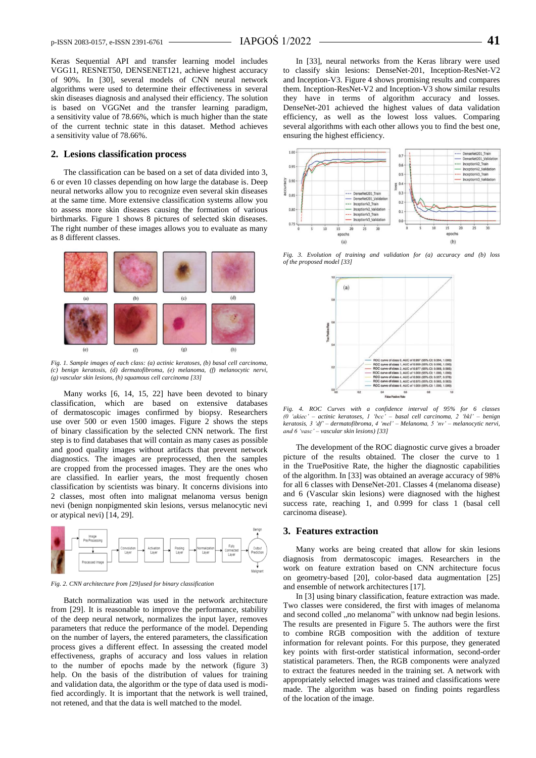Keras Sequential API and transfer learning model includes VGG11, RESNET50, DENSENET121, achieve highest accuracy of 90%. In [30], several models of CNN neural network algorithms were used to determine their effectiveness in several skin diseases diagnosis and analysed their efficiency. The solution is based on VGGNet and the transfer learning paradigm, a sensitivity value of 78.66%, which is much higher than the state of the current technic state in this dataset. Method achieves a sensitivity value of 78.66%.

#### **2. Lesions classification process**

The classification can be based on a set of data divided into 3, 6 or even 10 classes depending on how large the database is. Deep neural networks allow you to recognize even several skin diseases at the same time. More extensive classification systems allow you to assess more skin diseases causing the formation of various birthmarks. Figure 1 shows 8 pictures of selected skin diseases. The right number of these images allows you to evaluate as many as 8 different classes.



*Fig. 1. Sample images of each class: (a) actinic keratoses, (b) basal cell carcinoma, (c) benign keratosis, (d) dermatofibroma, (e) melanoma, (f) melanocytic nervi, (g) vascular skin lesions, (h) squamous cell carcinoma [33]*

Many works [6, 14, 15, 22] have been devoted to binary classification, which are based on extensive databases of dermatoscopic images confirmed by biopsy. Researchers use over 500 or even 1500 images. Figure 2 shows the steps of binary classification by the selected CNN network. The first step is to find databases that will contain as many cases as possible and good quality images without artifacts that prevent network diagnostics. The images are preprocessed, then the samples are cropped from the processed images. They are the ones who are classified. In earlier years, the most frequently chosen classification by scientists was binary. It concerns divisions into 2 classes, most often into malignat melanoma versus benign nevi (benign nonpigmented skin lesions, versus melanocytic nevi or atypical nevi) [14, 29].



*Fig. 2. CNN architecture from [29]used for binary classification*

Batch normalization was used in the network architecture from [29]. It is reasonable to improve the performance, stability of the deep neural network, normalizes the input layer, removes parameters that reduce the performance of the model. Depending on the number of layers, the entered parameters, the classification process gives a different effect. In assessing the created model effectiveness, graphs of accuracy and loss values in relation to the number of epochs made by the network (figure 3) help. On the basis of the distribution of values for training and validation data, the algorithm or the type of data used is modified accordingly. It is important that the network is well trained, not retened, and that the data is well matched to the model.

In [33], neural networks from the Keras library were used to classify skin lesions: DenseNet-201, Inception-ResNet-V2 and Inception-V3. Figure 4 shows promising results and compares them. Inception-ResNet-V2 and Inception-V3 show similar results they have in terms of algorithm accuracy and losses. DenseNet-201 achieved the highest values of data validation efficiency, as well as the lowest loss values. Comparing several algorithms with each other allows you to find the best one, ensuring the highest efficiency.



*Fig. 3. Evolution of training and validation for (a) accuracy and (b) loss of the proposed model [33]*



*Fig. 4. ROC Curves with a confidence interval of 95% for 6 classes (0 'akiec' – actinic keratoses, 1 'bcc' – basal cell carcinoma, 2 'bkl' – benign keratosis, 3 'df' – dermatofibroma, 4 'mel' – Melanoma, 5 'nv' – melanocytic nervi, and 6 'vasc' – vascular skin lesions) [33]*

The development of the ROC diagnostic curve gives a broader picture of the results obtained. The closer the curve to 1 in the TruePositive Rate, the higher the diagnostic capabilities of the algorithm. In [33] was obtained an average accuracy of 98% for all 6 classes with DenseNet-201. Classes 4 (melanoma disease) and 6 (Vascular skin lesions) were diagnosed with the highest success rate, reaching 1, and 0.999 for class 1 (basal cell carcinoma disease).

### **3. Features extraction**

Many works are being created that allow for skin lesions diagnosis from dermatoscopic images. Researchers in the work on feature extration based on CNN architecture focus on geometry-based [20], color-based data augmentation [25] and ensemble of network architectures [17].

In [3] using binary classification, feature extraction was made. Two classes were considered, the first with images of melanoma and second colled ,,no melanoma" with unknow nad begin lesions. The results are presented in Figure 5. The authors were the first to combine RGB composition with the addition of texture information for relevant points. For this purpose, they generated key points with first-order statistical information, second-order statistical parameters. Then, the RGB components were analyzed to extract the features needed in the training set. A network with appropriately selected images was trained and classifications were made. The algorithm was based on finding points regardless of the location of the image.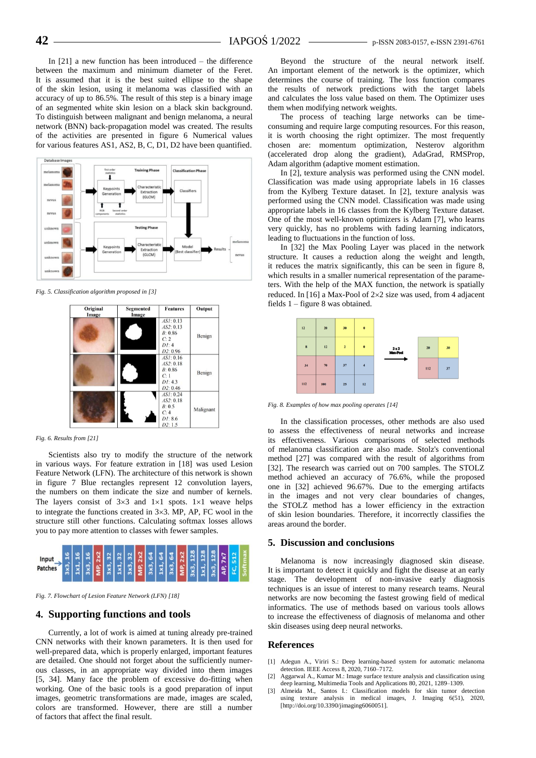In [21] a new function has been introduced – the difference between the maximum and minimum diameter of the Feret. It is assumed that it is the best suited ellipse to the shape of the skin lesion, using it melanoma was classified with an accuracy of up to 86.5%. The result of this step is a binary image of an segmented white skin lesion on a black skin background. To distinguish between malignant and benign melanoma, a neural network (BNN) back-propagation model was created. The results of the activities are presented in figure 6 Numerical values for various features AS1, AS2, B, C, D1, D2 have been quantified.



*Fig. 5. Classification algorithm proposed in [3]*



*Fig. 6. Results from [21]*

Scientists also try to modify the structure of the network in various ways. For feature extration in [18] was used Lesion Feature Network (LFN). The architecture of this network is shown in figure 7 Blue rectangles represent 12 convolution layers, the numbers on them indicate the size and number of kernels. The layers consist of  $3\times3$  and  $1\times1$  spots.  $1\times1$  weave helps to integrate the functions created in  $3\times3$ . MP, AP, FC wool in the structure still other functions. Calculating softmax losses allows you to pay more attention to classes with fewer samples.



*Fig. 7. Flowchart of Lesion Feature Network (LFN) [18]*

## **4. Supporting functions and tools**

Currently, a lot of work is aimed at tuning already pre-trained CNN networks with their known parameters. It is then used for well-prepared data, which is properly enlarged, important features are detailed. One should not forget about the sufficiently numerous classes, in an appropriate way divided into them images [5, 34]. Many face the problem of excessive do-fitting when working. One of the basic tools is a good preparation of input images, geometric transformations are made, images are scaled, colors are transformed. However, there are still a number of factors that affect the final result.

Beyond the structure of the neural network itself. An important element of the network is the optimizer, which determines the course of training. The loss function compares the results of network predictions with the target labels and calculates the loss value based on them. The Optimizer uses them when modifying network weights.

The process of teaching large networks can be timeconsuming and require large computing resources. For this reason, it is worth choosing the right optimizer. The most frequently chosen are: momentum optimization, Nesterov algorithm (accelerated drop along the gradient), AdaGrad, RMSProp, Adam algorithm (adaptive moment estimation.

In [2], texture analysis was performed using the CNN model. Classification was made using appropriate labels in 16 classes from the Kylberg Texture dataset. In [2], texture analysis was performed using the CNN model. Classification was made using appropriate labels in 16 classes from the Kylberg Texture dataset. One of the most well-known optimizers is Adam [7], who learns very quickly, has no problems with fading learning indicators, leading to fluctuations in the function of loss.

In [32] the Max Pooling Layer was placed in the network structure. It causes a reduction along the weight and length, it reduces the matrix significantly, this can be seen in figure 8, which results in a smaller numerical representation of the parameters. With the help of the MAX function, the network is spatially reduced. In [16] a Max-Pool of  $2\times 2$  size was used, from 4 adjacent fields 1 – figure 8 was obtained.



*Fig. 8. Examples of how max pooling operates [14]*

In the classification processes, other methods are also used to assess the effectiveness of neural networks and increase its effectiveness. Various comparisons of selected methods of melanoma classification are also made. Stolz's conventional method [27] was compared with the result of algorithms from [32]. The research was carried out on 700 samples. The STOLZ method achieved an accuracy of 76.6%, while the proposed one in [32] achieved 96.67%. Due to the emerging artifacts in the images and not very clear boundaries of changes, the STOLZ method has a lower efficiency in the extraction of skin lesion boundaries. Therefore, it incorrectly classifies the areas around the border.

#### **5. Discussion and conclusions**

Melanoma is now increasingly diagnosed skin disease. It is important to detect it quickly and fight the disease at an early stage. The development of non-invasive early diagnosis techniques is an issue of interest to many research teams. Neural networks are now becoming the fastest growing field of medical informatics. The use of methods based on various tools allows to increase the effectiveness of diagnosis of melanoma and other skin diseases using deep neural networks.

#### **References**

- [1] Adegun A., Viriri S.: Deep learning-based system for automatic melanoma detection. IEEE Access 8, 2020, 7160–7172.
- [2] Aggarwal A., Kumar M.: Image surface texture analysis and classification using deep learning, Multimedia Tools and Applications 80, 2021, 1289–1309.
- [3] Almeida M., Santos I.: Classification models for skin tumor detection using texture analysis in medical images, J. Imaging 6(51), 2020, [http://doi.org/10.3390/jimaging6060051].